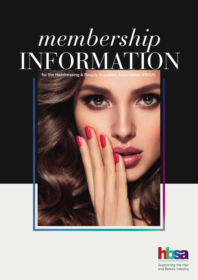### *membership* INFORMATION for the Hairdressing & Beauty Suppliers Association (HBSA)



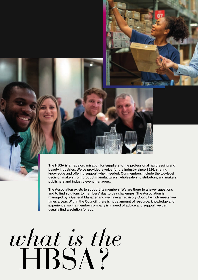The HBSA is a trade organisation for suppliers to the professional hairdressing and beauty industries. We've provided a voice for the industry since 1926, sharing knowledge and offering support when needed. Our members include the top-level decision makers from product manufacturers, wholesalers, distributors, wig makers, publishers and industry event managers.

The Association exists to support its members. We are there to answer questions and to find solutions to members' day to day challenges. The Association is managed by a General Manager and we have an advisory Council which meets five times a year. Within the Council, there is huge amount of resource, knowledge and experience, so if a member company is in need of advice and support we can usually find a solution for you.

## *what is the* HBSA?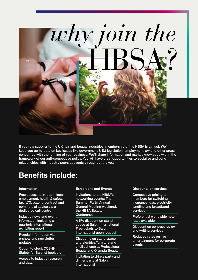

If you're a supplier to the UK hair and beauty industries, membership of the HBSA is a must. We'll keep you up-to-date on key issues like government & EU legislation, employment law and other areas concerned with the running of your business. We'll share information and market knowledge within the framework of our anti-competitive policy. You will have great opportunities to socialise and build relationships with industry peers at events throughout the year.

### **Benefits include:**

### **Information**

Free access to in-depth legal, employment, health & safety, tax, VAT, patent, contract and commercial advice via a dedicated call centre

Industry news and event information including a quarterly international exhibition report

Regular information via e-shots and newsletter updates

Option to stock COSHH (Safety for Salons) booklets

Access to industry research and data

**Exhibitions and Events**

Invitations to the HBSA's networking events: The Summer Party, Annual General Meeting weekend, the HBSA Beauty Conference.

A 5% discount on stand space at Salon International Free tickets to Salon International upon request

Discounts on stand space and electrics/furniture and shell scheme at Professional Beauty and Olympia Beauty

Invitation to drinks party and dinner party at Salon International

**Discounts on services**

Competitive pricing to members for switching insurance, gas, electricity, landline and broadband services

Preferential worldwide hotel rates available

Discount on contract review and writing services

Reduced rates on live entertainment for corporate events